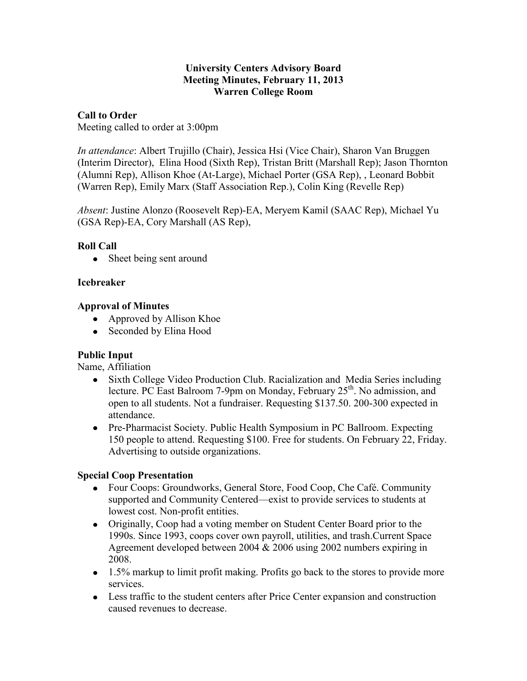#### **University Centers Advisory Board Meeting Minutes, February 11, 2013 Warren College Room**

### **Call to Order**

Meeting called to order at 3:00pm

*In attendance*: Albert Trujillo (Chair), Jessica Hsi (Vice Chair), Sharon Van Bruggen (Interim Director), Elina Hood (Sixth Rep), Tristan Britt (Marshall Rep); Jason Thornton (Alumni Rep), Allison Khoe (At-Large), Michael Porter (GSA Rep), , Leonard Bobbit (Warren Rep), Emily Marx (Staff Association Rep.), Colin King (Revelle Rep)

*Absent*: Justine Alonzo (Roosevelt Rep)-EA, Meryem Kamil (SAAC Rep), Michael Yu (GSA Rep)-EA, Cory Marshall (AS Rep),

### **Roll Call**

• Sheet being sent around

### **Icebreaker**

### **Approval of Minutes**

- Approved by Allison Khoe
- Seconded by Elina Hood

### **Public Input**

Name, Affiliation

- Sixth College Video Production Club. Racialization and Media Series including  $\bullet$ lecture. PC East Balroom 7-9pm on Monday, February  $25<sup>th</sup>$ . No admission, and open to all students. Not a fundraiser. Requesting \$137.50. 200-300 expected in attendance.
- Pre-Pharmacist Society. Public Health Symposium in PC Ballroom. Expecting 150 people to attend. Requesting \$100. Free for students. On February 22, Friday. Advertising to outside organizations.

### **Special Coop Presentation**

- Four Coops: Groundworks, General Store, Food Coop, Che Café. Community supported and Community Centered—exist to provide services to students at lowest cost. Non-profit entities.
- Originally, Coop had a voting member on Student Center Board prior to the 1990s. Since 1993, coops cover own payroll, utilities, and trash.Current Space Agreement developed between 2004 & 2006 using 2002 numbers expiring in 2008.
- 1.5% markup to limit profit making. Profits go back to the stores to provide more services.
- Less traffic to the student centers after Price Center expansion and construction caused revenues to decrease.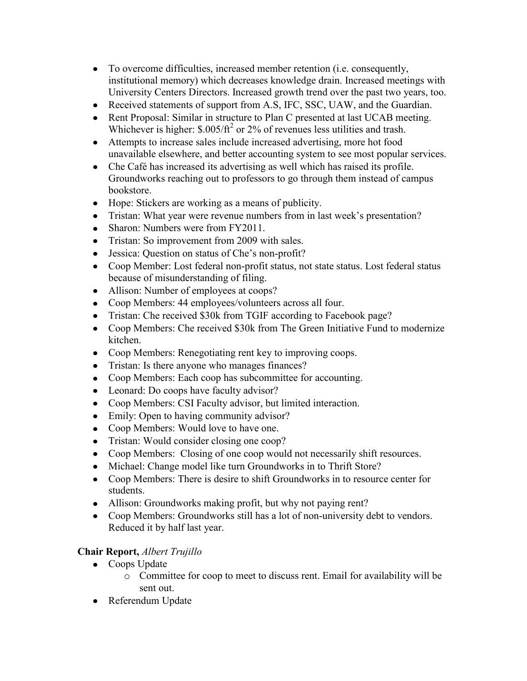- To overcome difficulties, increased member retention (i.e. consequently, institutional memory) which decreases knowledge drain. Increased meetings with University Centers Directors. Increased growth trend over the past two years, too.
- Received statements of support from A.S, IFC, SSC, UAW, and the Guardian.
- Rent Proposal: Similar in structure to Plan C presented at last UCAB meeting. Whichever is higher:  $$.005/ft^2$  or 2% of revenues less utilities and trash.
- Attempts to increase sales include increased advertising, more hot food unavailable elsewhere, and better accounting system to see most popular services.
- Che Café has increased its advertising as well which has raised its profile. Groundworks reaching out to professors to go through them instead of campus bookstore.
- Hope: Stickers are working as a means of publicity.
- Tristan: What year were revenue numbers from in last week's presentation?
- Sharon: Numbers were from FY2011.
- Tristan: So improvement from 2009 with sales.
- Jessica: Question on status of Che's non-profit?
- Coop Member: Lost federal non-profit status, not state status. Lost federal status because of misunderstanding of filing.
- Allison: Number of employees at coops?
- Coop Members: 44 employees/volunteers across all four.
- Tristan: Che received \$30k from TGIF according to Facebook page?
- Coop Members: Che received \$30k from The Green Initiative Fund to modernize kitchen.
- Coop Members: Renegotiating rent key to improving coops.
- Tristan: Is there anyone who manages finances?
- Coop Members: Each coop has subcommittee for accounting.
- Leonard: Do coops have faculty advisor?
- Coop Members: CSI Faculty advisor, but limited interaction.
- Emily: Open to having community advisor?
- Coop Members: Would love to have one.
- Tristan: Would consider closing one coop?
- Coop Members: Closing of one coop would not necessarily shift resources.
- Michael: Change model like turn Groundworks in to Thrift Store?
- Coop Members: There is desire to shift Groundworks in to resource center for students.
- Allison: Groundworks making profit, but why not paying rent?
- Coop Members: Groundworks still has a lot of non-university debt to vendors. Reduced it by half last year.

# **Chair Report,** *Albert Trujillo*

- Coops Update
	- o Committee for coop to meet to discuss rent. Email for availability will be sent out.
- Referendum Update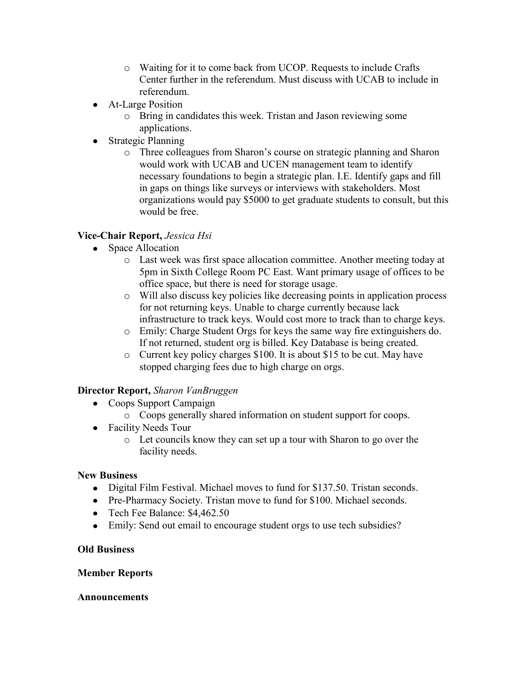- o Waiting for it to come back from UCOP. Requests to include Crafts Center further in the referendum. Must discuss with UCAB to include in referendum.
- At-Large Position
	- o Bring in candidates this week. Tristan and Jason reviewing some applications.
- Strategic Planning
	- o Three colleagues from Sharon's course on strategic planning and Sharon would work with UCAB and UCEN management team to identify necessary foundations to begin a strategic plan. I.E. Identify gaps and fill in gaps on things like surveys or interviews with stakeholders. Most organizations would pay \$5000 to get graduate students to consult, but this would be free.

# **Vice-Chair Report,** *Jessica Hsi*

- Space Allocation
	- o Last week was first space allocation committee. Another meeting today at 5pm in Sixth College Room PC East. Want primary usage of offices to be office space, but there is need for storage usage.
	- o Will also discuss key policies like decreasing points in application process for not returning keys. Unable to charge currently because lack infrastructure to track keys. Would cost more to track than to charge keys.
	- o Emily: Charge Student Orgs for keys the same way fire extinguishers do. If not returned, student org is billed. Key Database is being created.
	- o Current key policy charges \$100. It is about \$15 to be cut. May have stopped charging fees due to high charge on orgs.

### **Director Report,** *Sharon VanBruggen*

- Coops Support Campaign
	- o Coops generally shared information on student support for coops.
- Facility Needs Tour
	- o Let councils know they can set up a tour with Sharon to go over the facility needs.

### **New Business**

- Digital Film Festival. Michael moves to fund for \$137.50. Tristan seconds.
- Pre-Pharmacy Society. Tristan move to fund for \$100. Michael seconds.
- Tech Fee Balance: \$4,462.50
- Emily: Send out email to encourage student orgs to use tech subsidies?

### **Old Business**

### **Member Reports**

### **Announcements**